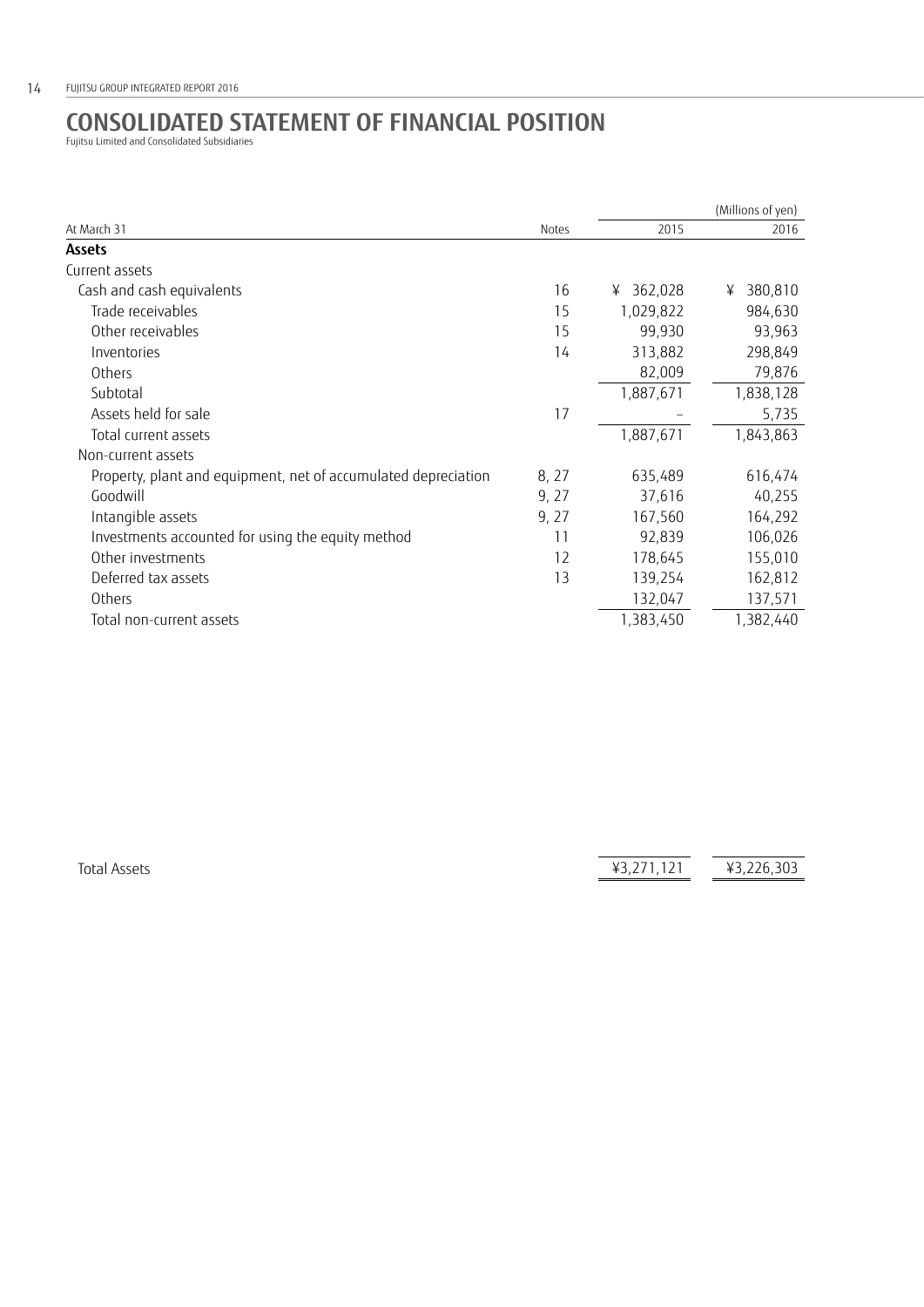## **CONSOLIDATED STATEMENT OF FINANCIAL POSITION**  Fujitsu Limited and Consolidated Subsidiaries

| At March 31                                                    | Notes | (Millions of yen) |              |
|----------------------------------------------------------------|-------|-------------------|--------------|
|                                                                |       | 2015              | 2016         |
| <b>Assets</b>                                                  |       |                   |              |
| Current assets                                                 |       |                   |              |
| Cash and cash equivalents                                      | 16    | 362,028<br>¥      | 380,810<br>¥ |
| Trade receivables                                              | 15    | 1,029,822         | 984,630      |
| Other receivables                                              | 15    | 99,930            | 93,963       |
| Inventories                                                    | 14    | 313,882           | 298,849      |
| Others                                                         |       | 82,009            | 79,876       |
| Subtotal                                                       |       | 1,887,671         | 1,838,128    |
| Assets held for sale                                           | 17    |                   | 5,735        |
| Total current assets                                           |       | 1,887,671         | 1,843,863    |
| Non-current assets                                             |       |                   |              |
| Property, plant and equipment, net of accumulated depreciation | 8, 27 | 635,489           | 616,474      |
| Goodwill                                                       | 9, 27 | 37,616            | 40,255       |
| Intangible assets                                              | 9, 27 | 167,560           | 164,292      |
| Investments accounted for using the equity method              | 11    | 92,839            | 106,026      |
| Other investments                                              | 12    | 178,645           | 155,010      |
| Deferred tax assets                                            | 13    | 139,254           | 162,812      |
| Others                                                         |       | 132,047           | 137,571      |
| Total non-current assets                                       |       | 1,383,450         | 1,382,440    |

Total Assets  $\frac{1}{43,271,121}$   $\frac{1}{43,226,303}$